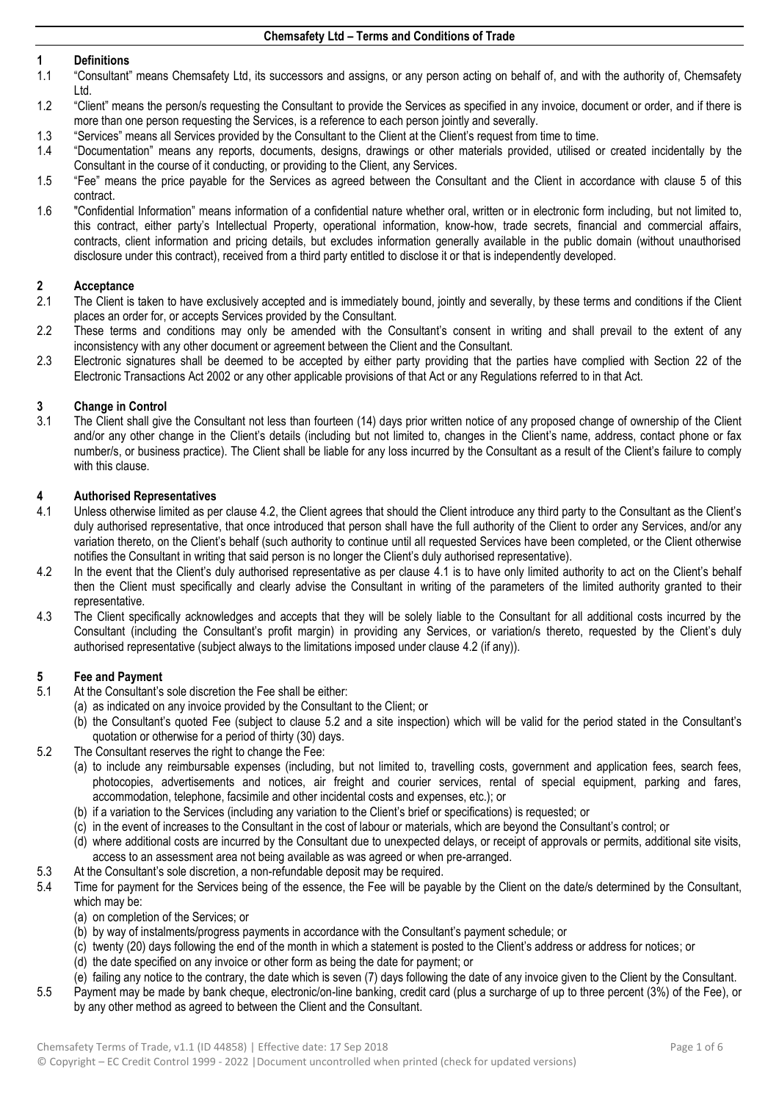## **1 Definitions**

- 1.1 "Consultant" means Chemsafety Ltd, its successors and assigns, or any person acting on behalf of, and with the authority of, Chemsafety Ltd.
- 1.2 "Client" means the person/s requesting the Consultant to provide the Services as specified in any invoice, document or order, and if there is more than one person requesting the Services, is a reference to each person jointly and severally.
- 1.3 "Services" means all Services provided by the Consultant to the Client at the Client's request from time to time.<br>1.4 "Documentation" means any reports, documents, designs, drawings or other materials provided, utilise
- 1.4 "Documentation" means any reports, documents, designs, drawings or other materials provided, utilised or created incidentally by the Consultant in the course of it conducting, or providing to the Client, any Services.
- 1.5 "Fee" means the price payable for the Services as agreed between the Consultant and the Client in accordance with clause [5](#page-0-0) of this contract.
- 1.6 "Confidential Information" means information of a confidential nature whether oral, written or in electronic form including, but not limited to, this contract, either party's Intellectual Property, operational information, know-how, trade secrets, financial and commercial affairs, contracts, client information and pricing details, but excludes information generally available in the public domain (without unauthorised disclosure under this contract), received from a third party entitled to disclose it or that is independently developed.

## **2 Acceptance**

- The Client is taken to have exclusively accepted and is immediately bound, jointly and severally, by these terms and conditions if the Client places an order for, or accepts Services provided by the Consultant.
- 2.2 These terms and conditions may only be amended with the Consultant's consent in writing and shall prevail to the extent of any inconsistency with any other document or agreement between the Client and the Consultant.
- 2.3 Electronic signatures shall be deemed to be accepted by either party providing that the parties have complied with Section 22 of the Electronic Transactions Act 2002 or any other applicable provisions of that Act or any Regulations referred to in that Act.

## **3 Change in Control**

The Client shall give the Consultant not less than fourteen (14) days prior written notice of any proposed change of ownership of the Client and/or any other change in the Client's details (including but not limited to, changes in the Client's name, address, contact phone or fax number/s, or business practice). The Client shall be liable for any loss incurred by the Consultant as a result of the Client's failure to comply with this clause.

## **4 Authorised Representatives**

- <span id="page-0-2"></span>4.1 Unless otherwise limited as per clause [4.2,](#page-0-1) the Client agrees that should the Client introduce any third party to the Consultant as the Client's duly authorised representative, that once introduced that person shall have the full authority of the Client to order any Services, and/or any variation thereto, on the Client's behalf (such authority to continue until all requested Services have been completed, or the Client otherwise notifies the Consultant in writing that said person is no longer the Client's duly authorised representative).
- <span id="page-0-1"></span>4.2 In the event that the Client's duly authorised representative as per clause [4.1](#page-0-2) is to have only limited authority to act on the Client's behalf then the Client must specifically and clearly advise the Consultant in writing of the parameters of the limited authority granted to their representative.
- 4.3 The Client specifically acknowledges and accepts that they will be solely liable to the Consultant for all additional costs incurred by the Consultant (including the Consultant's profit margin) in providing any Services, or variation/s thereto, requested by the Client's duly authorised representative (subject always to the limitations imposed under clause [4.2](#page-0-1) (if any)).

## <span id="page-0-0"></span>**5 Fee and Payment**

- 5.1 At the Consultant's sole discretion the Fee shall be either:
	- (a) as indicated on any invoice provided by the Consultant to the Client; or
	- (b) the Consultant's quoted Fee (subject to clause [5.2](#page-0-3) and a site inspection) which will be valid for the period stated in the Consultant's quotation or otherwise for a period of thirty (30) days.
- <span id="page-0-3"></span>5.2 The Consultant reserves the right to change the Fee:
	- (a) to include any reimbursable expenses (including, but not limited to, travelling costs, government and application fees, search fees, photocopies, advertisements and notices, air freight and courier services, rental of special equipment, parking and fares, accommodation, telephone, facsimile and other incidental costs and expenses, etc.); or
	- (b) if a variation to the Services (including any variation to the Client's brief or specifications) is requested; or
	- (c) in the event of increases to the Consultant in the cost of labour or materials, which are beyond the Consultant's control; or
	- (d) where additional costs are incurred by the Consultant due to unexpected delays, or receipt of approvals or permits, additional site visits, access to an assessment area not being available as was agreed or when pre-arranged.
- 5.3 At the Consultant's sole discretion, a non-refundable deposit may be required.
- 5.4 Time for payment for the Services being of the essence, the Fee will be payable by the Client on the date/s determined by the Consultant, which may be:
	- (a) on completion of the Services; or
	- (b) by way of instalments/progress payments in accordance with the Consultant's payment schedule; or
	- (c) twenty (20) days following the end of the month in which a statement is posted to the Client's address or address for notices; or
	- (d) the date specified on any invoice or other form as being the date for payment; or
	- (e) failing any notice to the contrary, the date which is seven (7) days following the date of any invoice given to the Client by the Consultant.
- 5.5 Payment may be made by bank cheque, electronic/on-line banking, credit card (plus a surcharge of up to three percent (3%) of the Fee), or by any other method as agreed to between the Client and the Consultant.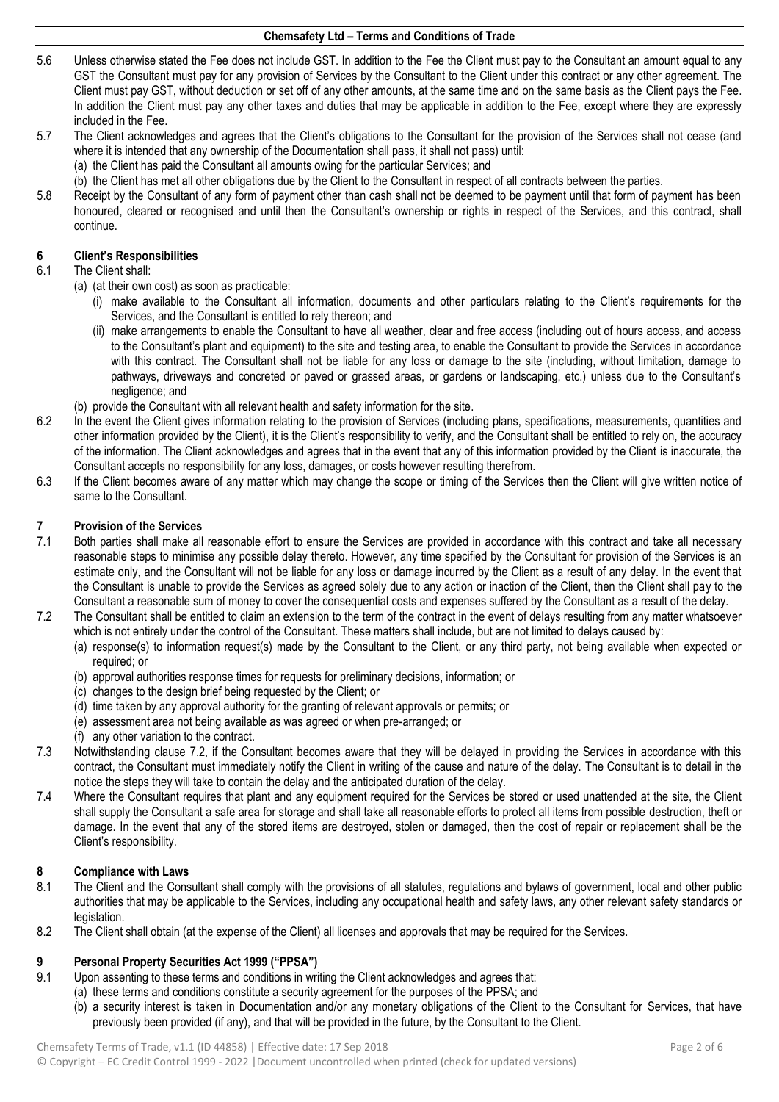- 5.6 Unless otherwise stated the Fee does not include GST. In addition to the Fee the Client must pay to the Consultant an amount equal to any GST the Consultant must pay for any provision of Services by the Consultant to the Client under this contract or any other agreement. The Client must pay GST, without deduction or set off of any other amounts, at the same time and on the same basis as the Client pays the Fee. In addition the Client must pay any other taxes and duties that may be applicable in addition to the Fee, except where they are expressly included in the Fee.
- 5.7 The Client acknowledges and agrees that the Client's obligations to the Consultant for the provision of the Services shall not cease (and where it is intended that any ownership of the Documentation shall pass, it shall not pass) until:
	- (a) the Client has paid the Consultant all amounts owing for the particular Services; and
	- (b) the Client has met all other obligations due by the Client to the Consultant in respect of all contracts between the parties.
- 5.8 Receipt by the Consultant of any form of payment other than cash shall not be deemed to be payment until that form of payment has been honoured, cleared or recognised and until then the Consultant's ownership or rights in respect of the Services, and this contract, shall continue.

# **6 Client's Responsibilities**

### The Client shall:

- (a) (at their own cost) as soon as practicable:
	- (i) make available to the Consultant all information, documents and other particulars relating to the Client's requirements for the Services, and the Consultant is entitled to rely thereon; and
	- (ii) make arrangements to enable the Consultant to have all weather, clear and free access (including out of hours access, and access to the Consultant's plant and equipment) to the site and testing area, to enable the Consultant to provide the Services in accordance with this contract. The Consultant shall not be liable for any loss or damage to the site (including, without limitation, damage to pathways, driveways and concreted or paved or grassed areas, or gardens or landscaping, etc.) unless due to the Consultant's negligence; and
- (b) provide the Consultant with all relevant health and safety information for the site.
- 6.2 In the event the Client gives information relating to the provision of Services (including plans, specifications, measurements, quantities and other information provided by the Client), it is the Client's responsibility to verify, and the Consultant shall be entitled to rely on, the accuracy of the information. The Client acknowledges and agrees that in the event that any of this information provided by the Client is inaccurate, the Consultant accepts no responsibility for any loss, damages, or costs however resulting therefrom.
- 6.3 If the Client becomes aware of any matter which may change the scope or timing of the Services then the Client will give written notice of same to the Consultant.

## **7 Provision of the Services**

- Both parties shall make all reasonable effort to ensure the Services are provided in accordance with this contract and take all necessary reasonable steps to minimise any possible delay thereto. However, any time specified by the Consultant for provision of the Services is an estimate only, and the Consultant will not be liable for any loss or damage incurred by the Client as a result of any delay. In the event that the Consultant is unable to provide the Services as agreed solely due to any action or inaction of the Client, then the Client shall pay to the Consultant a reasonable sum of money to cover the consequential costs and expenses suffered by the Consultant as a result of the delay.
- <span id="page-1-0"></span>7.2 The Consultant shall be entitled to claim an extension to the term of the contract in the event of delays resulting from any matter whatsoever which is not entirely under the control of the Consultant. These matters shall include, but are not limited to delays caused by:
	- (a) response(s) to information request(s) made by the Consultant to the Client, or any third party, not being available when expected or required; or
	- (b) approval authorities response times for requests for preliminary decisions, information; or
	- (c) changes to the design brief being requested by the Client; or
	- (d) time taken by any approval authority for the granting of relevant approvals or permits; or
	- (e) assessment area not being available as was agreed or when pre-arranged; or
	- (f) any other variation to the contract.
- 7.3 Notwithstanding clause [7.2,](#page-1-0) if the Consultant becomes aware that they will be delayed in providing the Services in accordance with this contract, the Consultant must immediately notify the Client in writing of the cause and nature of the delay. The Consultant is to detail in the notice the steps they will take to contain the delay and the anticipated duration of the delay.
- 7.4 Where the Consultant requires that plant and any equipment required for the Services be stored or used unattended at the site, the Client shall supply the Consultant a safe area for storage and shall take all reasonable efforts to protect all items from possible destruction, theft or damage. In the event that any of the stored items are destroyed, stolen or damaged, then the cost of repair or replacement shall be the Client's responsibility.

#### **8 Compliance with Laws**

- 8.1 The Client and the Consultant shall comply with the provisions of all statutes, regulations and bylaws of government, local and other public authorities that may be applicable to the Services, including any occupational health and safety laws, any other relevant safety standards or legislation.
- 8.2 The Client shall obtain (at the expense of the Client) all licenses and approvals that may be required for the Services.

#### **9 Personal Property Securities Act 1999 ("PPSA")**

- <span id="page-1-1"></span>9.1 Upon assenting to these terms and conditions in writing the Client acknowledges and agrees that:
	- (a) these terms and conditions constitute a security agreement for the purposes of the PPSA; and
		- (b) a security interest is taken in Documentation and/or any monetary obligations of the Client to the Consultant for Services, that have previously been provided (if any), and that will be provided in the future, by the Consultant to the Client.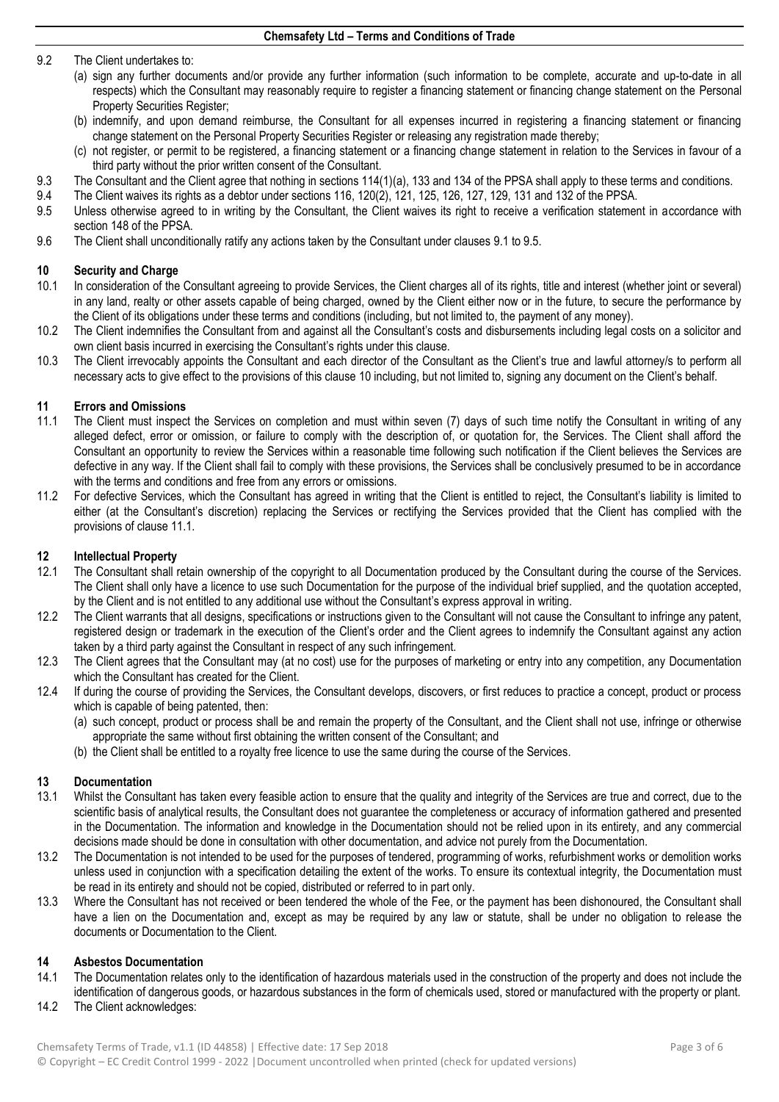#### 9.2 The Client undertakes to:

- (a) sign any further documents and/or provide any further information (such information to be complete, accurate and up-to-date in all respects) which the Consultant may reasonably require to register a financing statement or financing change statement on the Personal Property Securities Register;
- (b) indemnify, and upon demand reimburse, the Consultant for all expenses incurred in registering a financing statement or financing change statement on the Personal Property Securities Register or releasing any registration made thereby;
- (c) not register, or permit to be registered, a financing statement or a financing change statement in relation to the Services in favour of a third party without the prior written consent of the Consultant.
- 9.3 The Consultant and the Client agree that nothing in sections 114(1)(a), 133 and 134 of the PPSA shall apply to these terms and conditions.<br>9.4 The Client waives its rights as a debtor under sections 116, 120(2), 121, 1
- 9.4 The Client waives its rights as a debtor under sections 116, 120(2), 121, 125, 126, 127, 129, 131 and 132 of the PPSA.
- <span id="page-2-0"></span>Unless otherwise agreed to in writing by the Consultant, the Client waives its right to receive a verification statement in accordance with section 148 of the PPSA.
- 9.6 The Client shall unconditionally ratify any actions taken by the Consultant under clause[s 9.1](#page-1-1) t[o 9.5.](#page-2-0)

## <span id="page-2-1"></span>**10 Security and Charge**<br>**10.1 In consideration of the**

- In consideration of the Consultant agreeing to provide Services, the Client charges all of its rights, title and interest (whether joint or several) in any land, realty or other assets capable of being charged, owned by the Client either now or in the future, to secure the performance by the Client of its obligations under these terms and conditions (including, but not limited to, the payment of any money).
- 10.2 The Client indemnifies the Consultant from and against all the Consultant's costs and disbursements including legal costs on a solicitor and own client basis incurred in exercising the Consultant's rights under this clause.
- 10.3 The Client irrevocably appoints the Consultant and each director of the Consultant as the Client's true and lawful attorney/s to perform all necessary acts to give effect to the provisions of this claus[e 10](#page-2-1) including, but not limited to, signing any document on the Client's behalf.

#### **11 Errors and Omissions**

- <span id="page-2-2"></span>11.1 The Client must inspect the Services on completion and must within seven (7) days of such time notify the Consultant in writing of any alleged defect, error or omission, or failure to comply with the description of, or quotation for, the Services. The Client shall afford the Consultant an opportunity to review the Services within a reasonable time following such notification if the Client believes the Services are defective in any way. If the Client shall fail to comply with these provisions, the Services shall be conclusively presumed to be in accordance with the terms and conditions and free from any errors or omissions.
- 11.2 For defective Services, which the Consultant has agreed in writing that the Client is entitled to reject, the Consultant's liability is limited to either (at the Consultant's discretion) replacing the Services or rectifying the Services provided that the Client has complied with the provisions of clause [11.1.](#page-2-2)

## **12 Intellectual Property**

- 12.1 The Consultant shall retain ownership of the copyright to all Documentation produced by the Consultant during the course of the Services. The Client shall only have a licence to use such Documentation for the purpose of the individual brief supplied, and the quotation accepted, by the Client and is not entitled to any additional use without the Consultant's express approval in writing.
- 12.2 The Client warrants that all designs, specifications or instructions given to the Consultant will not cause the Consultant to infringe any patent, registered design or trademark in the execution of the Client's order and the Client agrees to indemnify the Consultant against any action taken by a third party against the Consultant in respect of any such infringement.
- 12.3 The Client agrees that the Consultant may (at no cost) use for the purposes of marketing or entry into any competition, any Documentation which the Consultant has created for the Client.
- 12.4 If during the course of providing the Services, the Consultant develops, discovers, or first reduces to practice a concept, product or process which is capable of being patented, then:
	- (a) such concept, product or process shall be and remain the property of the Consultant, and the Client shall not use, infringe or otherwise appropriate the same without first obtaining the written consent of the Consultant; and
	- (b) the Client shall be entitled to a royalty free licence to use the same during the course of the Services.

## **13 Documentation**

- 13.1 Whilst the Consultant has taken every feasible action to ensure that the quality and integrity of the Services are true and correct, due to the scientific basis of analytical results, the Consultant does not guarantee the completeness or accuracy of information gathered and presented in the Documentation. The information and knowledge in the Documentation should not be relied upon in its entirety, and any commercial decisions made should be done in consultation with other documentation, and advice not purely from the Documentation.
- 13.2 The Documentation is not intended to be used for the purposes of tendered, programming of works, refurbishment works or demolition works unless used in conjunction with a specification detailing the extent of the works. To ensure its contextual integrity, the Documentation must be read in its entirety and should not be copied, distributed or referred to in part only.
- 13.3 Where the Consultant has not received or been tendered the whole of the Fee, or the payment has been dishonoured, the Consultant shall have a lien on the Documentation and, except as may be required by any law or statute, shall be under no obligation to release the documents or Documentation to the Client.

#### **14 Asbestos Documentation**

- 14.1 The Documentation relates only to the identification of hazardous materials used in the construction of the property and does not include the identification of dangerous goods, or hazardous substances in the form of chemicals used, stored or manufactured with the property or plant.
- 14.2 The Client acknowledges: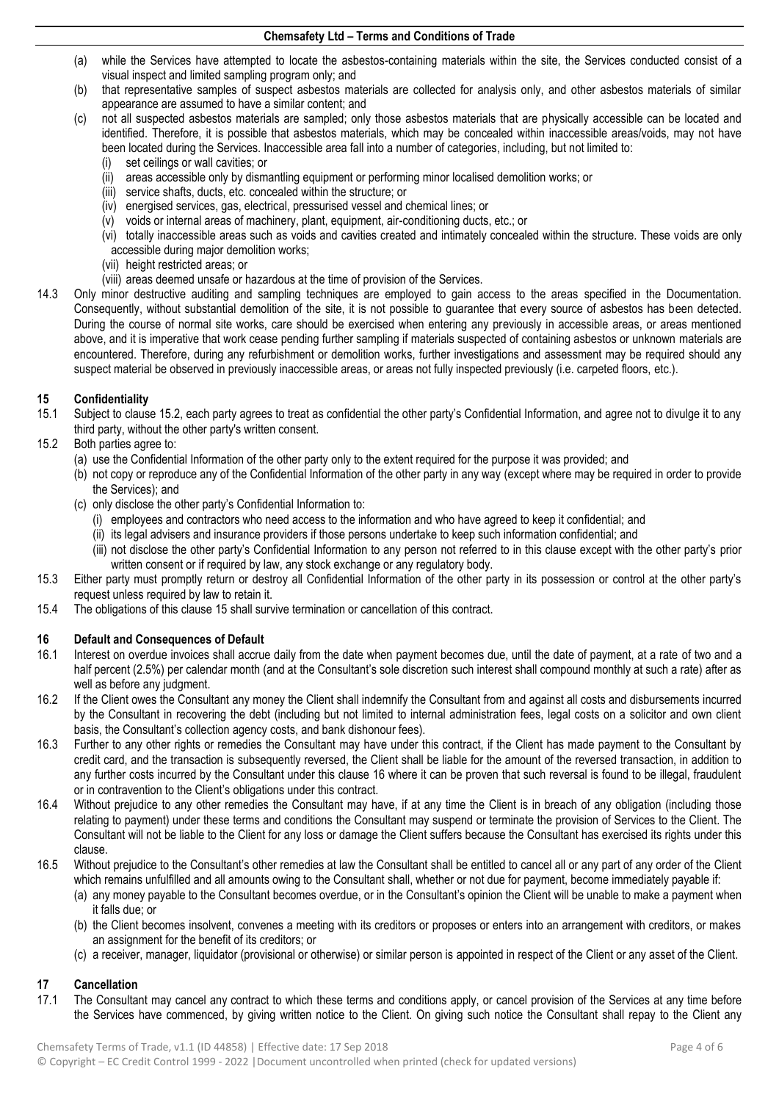- (a) while the Services have attempted to locate the asbestos-containing materials within the site, the Services conducted consist of a visual inspect and limited sampling program only; and
- (b) that representative samples of suspect asbestos materials are collected for analysis only, and other asbestos materials of similar appearance are assumed to have a similar content; and
- (c) not all suspected asbestos materials are sampled; only those asbestos materials that are physically accessible can be located and identified. Therefore, it is possible that asbestos materials, which may be concealed within inaccessible areas/voids, may not have been located during the Services. Inaccessible area fall into a number of categories, including, but not limited to:
	- (i) set ceilings or wall cavities; or
	- (ii) areas accessible only by dismantling equipment or performing minor localised demolition works; or
	- (iii) service shafts, ducts, etc. concealed within the structure; or
	- (iv) energised services, gas, electrical, pressurised vessel and chemical lines; or
	- (v) voids or internal areas of machinery, plant, equipment, air-conditioning ducts, etc.; or
	- (vi) totally inaccessible areas such as voids and cavities created and intimately concealed within the structure. These voids are only accessible during major demolition works;
	- (vii) height restricted areas; or
	- (viii) areas deemed unsafe or hazardous at the time of provision of the Services.
- 14.3 Only minor destructive auditing and sampling techniques are employed to gain access to the areas specified in the Documentation. Consequently, without substantial demolition of the site, it is not possible to guarantee that every source of asbestos has been detected. During the course of normal site works, care should be exercised when entering any previously in accessible areas, or areas mentioned above, and it is imperative that work cease pending further sampling if materials suspected of containing asbestos or unknown materials are encountered. Therefore, during any refurbishment or demolition works, further investigations and assessment may be required should any suspect material be observed in previously inaccessible areas, or areas not fully inspected previously (i.e. carpeted floors, etc.).

## **15 Confidentiality**

- 15.1 Subject to clause 15.2, each party agrees to treat as confidential the other party's Confidential Information, and agree not to divulge it to any third party, without the other party's written consent.
- 15.2 Both parties agree to:
	- (a) use the Confidential Information of the other party only to the extent required for the purpose it was provided; and
	- (b) not copy or reproduce any of the Confidential Information of the other party in any way (except where may be required in order to provide the Services); and
	- (c) only disclose the other party's Confidential Information to:
		- (i) employees and contractors who need access to the information and who have agreed to keep it confidential; and
		- (ii) its legal advisers and insurance providers if those persons undertake to keep such information confidential; and
		- (iii) not disclose the other party's Confidential Information to any person not referred to in this clause except with the other party's prior written consent or if required by law, any stock exchange or any regulatory body.
- 15.3 Either party must promptly return or destroy all Confidential Information of the other party in its possession or control at the other party's request unless required by law to retain it.
- 15.4 The obligations of this clause 15 shall survive termination or cancellation of this contract.

## **16 Default and Consequences of Default**

- 16.1 Interest on overdue invoices shall accrue daily from the date when payment becomes due, until the date of payment, at a rate of two and a half percent (2.5%) per calendar month (and at the Consultant's sole discretion such interest shall compound monthly at such a rate) after as well as before any judgment.
- 16.2 If the Client owes the Consultant any money the Client shall indemnify the Consultant from and against all costs and disbursements incurred by the Consultant in recovering the debt (including but not limited to internal administration fees, legal costs on a solicitor and own client basis, the Consultant's collection agency costs, and bank dishonour fees).
- 16.3 Further to any other rights or remedies the Consultant may have under this contract, if the Client has made payment to the Consultant by credit card, and the transaction is subsequently reversed, the Client shall be liable for the amount of the reversed transaction, in addition to any further costs incurred by the Consultant under this clause 16 where it can be proven that such reversal is found to be illegal, fraudulent or in contravention to the Client's obligations under this contract.
- 16.4 Without prejudice to any other remedies the Consultant may have, if at any time the Client is in breach of any obligation (including those relating to payment) under these terms and conditions the Consultant may suspend or terminate the provision of Services to the Client. The Consultant will not be liable to the Client for any loss or damage the Client suffers because the Consultant has exercised its rights under this clause.
- 16.5 Without prejudice to the Consultant's other remedies at law the Consultant shall be entitled to cancel all or any part of any order of the Client which remains unfulfilled and all amounts owing to the Consultant shall, whether or not due for payment, become immediately payable if:
	- (a) any money payable to the Consultant becomes overdue, or in the Consultant's opinion the Client will be unable to make a payment when it falls due; or
	- (b) the Client becomes insolvent, convenes a meeting with its creditors or proposes or enters into an arrangement with creditors, or makes an assignment for the benefit of its creditors; or
	- (c) a receiver, manager, liquidator (provisional or otherwise) or similar person is appointed in respect of the Client or any asset of the Client.

## **17 Cancellation**

17.1 The Consultant may cancel any contract to which these terms and conditions apply, or cancel provision of the Services at any time before the Services have commenced, by giving written notice to the Client. On giving such notice the Consultant shall repay to the Client any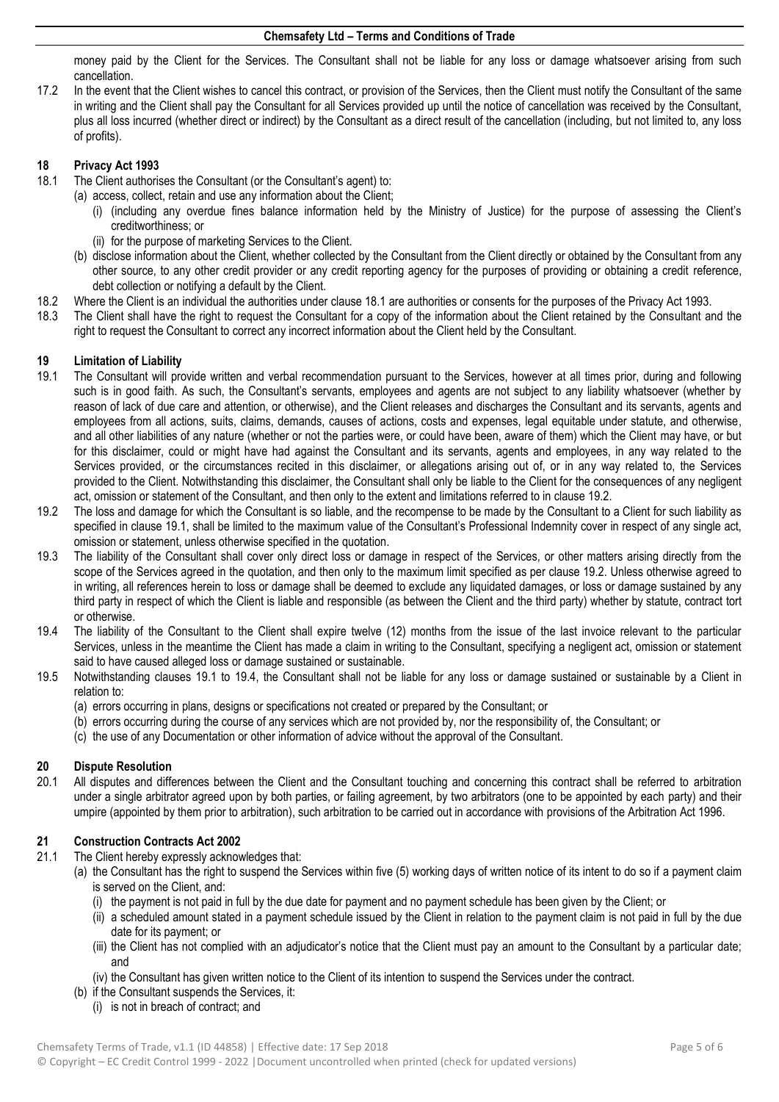money paid by the Client for the Services. The Consultant shall not be liable for any loss or damage whatsoever arising from such cancellation.

17.2 In the event that the Client wishes to cancel this contract, or provision of the Services, then the Client must notify the Consultant of the same in writing and the Client shall pay the Consultant for all Services provided up until the notice of cancellation was received by the Consultant, plus all loss incurred (whether direct or indirect) by the Consultant as a direct result of the cancellation (including, but not limited to, any loss of profits).

## **18 Privacy Act 1993**

- The Client authorises the Consultant (or the Consultant's agent) to:
	- (a) access, collect, retain and use any information about the Client;
		- (i) (including any overdue fines balance information held by the Ministry of Justice) for the purpose of assessing the Client's creditworthiness; or
		- (ii) for the purpose of marketing Services to the Client.
		- (b) disclose information about the Client, whether collected by the Consultant from the Client directly or obtained by the Consultant from any other source, to any other credit provider or any credit reporting agency for the purposes of providing or obtaining a credit reference, debt collection or notifying a default by the Client.
- 18.2 Where the Client is an individual the authorities under clause 18.1 are authorities or consents for the purposes of the Privacy Act 1993.
- 18.3 The Client shall have the right to request the Consultant for a copy of the information about the Client retained by the Consultant and the right to request the Consultant to correct any incorrect information about the Client held by the Consultant.

### **19 Limitation of Liability**

- 19.1 The Consultant will provide written and verbal recommendation pursuant to the Services, however at all times prior, during and following such is in good faith. As such, the Consultant's servants, employees and agents are not subject to any liability whatsoever (whether by reason of lack of due care and attention, or otherwise), and the Client releases and discharges the Consultant and its servants, agents and employees from all actions, suits, claims, demands, causes of actions, costs and expenses, legal equitable under statute, and otherwise, and all other liabilities of any nature (whether or not the parties were, or could have been, aware of them) which the Client may have, or but for this disclaimer, could or might have had against the Consultant and its servants, agents and employees, in any way related to the Services provided, or the circumstances recited in this disclaimer, or allegations arising out of, or in any way related to, the Services provided to the Client. Notwithstanding this disclaimer, the Consultant shall only be liable to the Client for the consequences of any negligent act, omission or statement of the Consultant, and then only to the extent and limitations referred to in clause 19.2.
- 19.2 The loss and damage for which the Consultant is so liable, and the recompense to be made by the Consultant to a Client for such liability as specified in clause 19.1, shall be limited to the maximum value of the Consultant's Professional Indemnity cover in respect of any single act, omission or statement, unless otherwise specified in the quotation.
- 19.3 The liability of the Consultant shall cover only direct loss or damage in respect of the Services, or other matters arising directly from the scope of the Services agreed in the quotation, and then only to the maximum limit specified as per clause 19.2. Unless otherwise agreed to in writing, all references herein to loss or damage shall be deemed to exclude any liquidated damages, or loss or damage sustained by any third party in respect of which the Client is liable and responsible (as between the Client and the third party) whether by statute, contract tort or otherwise.
- 19.4 The liability of the Consultant to the Client shall expire twelve (12) months from the issue of the last invoice relevant to the particular Services, unless in the meantime the Client has made a claim in writing to the Consultant, specifying a negligent act, omission or statement said to have caused alleged loss or damage sustained or sustainable.
- 19.5 Notwithstanding clauses 19.1 to 19.4, the Consultant shall not be liable for any loss or damage sustained or sustainable by a Client in relation to:
	- (a) errors occurring in plans, designs or specifications not created or prepared by the Consultant; or
	- (b) errors occurring during the course of any services which are not provided by, nor the responsibility of, the Consultant; or
	- (c) the use of any Documentation or other information of advice without the approval of the Consultant.

## **20 Dispute Resolution**

20.1 All disputes and differences between the Client and the Consultant touching and concerning this contract shall be referred to arbitration under a single arbitrator agreed upon by both parties, or failing agreement, by two arbitrators (one to be appointed by each party) and their umpire (appointed by them prior to arbitration), such arbitration to be carried out in accordance with provisions of the Arbitration Act 1996.

## **21 Construction Contracts Act 2002**

- 21.1 The Client hereby expressly acknowledges that:
	- (a) the Consultant has the right to suspend the Services within five (5) working days of written notice of its intent to do so if a payment claim is served on the Client, and:
		- (i) the payment is not paid in full by the due date for payment and no payment schedule has been given by the Client; or
		- (ii) a scheduled amount stated in a payment schedule issued by the Client in relation to the payment claim is not paid in full by the due date for its payment; or
		- (iii) the Client has not complied with an adjudicator's notice that the Client must pay an amount to the Consultant by a particular date; and
		- (iv) the Consultant has given written notice to the Client of its intention to suspend the Services under the contract.
	- (b) if the Consultant suspends the Services, it:
		- (i) is not in breach of contract; and